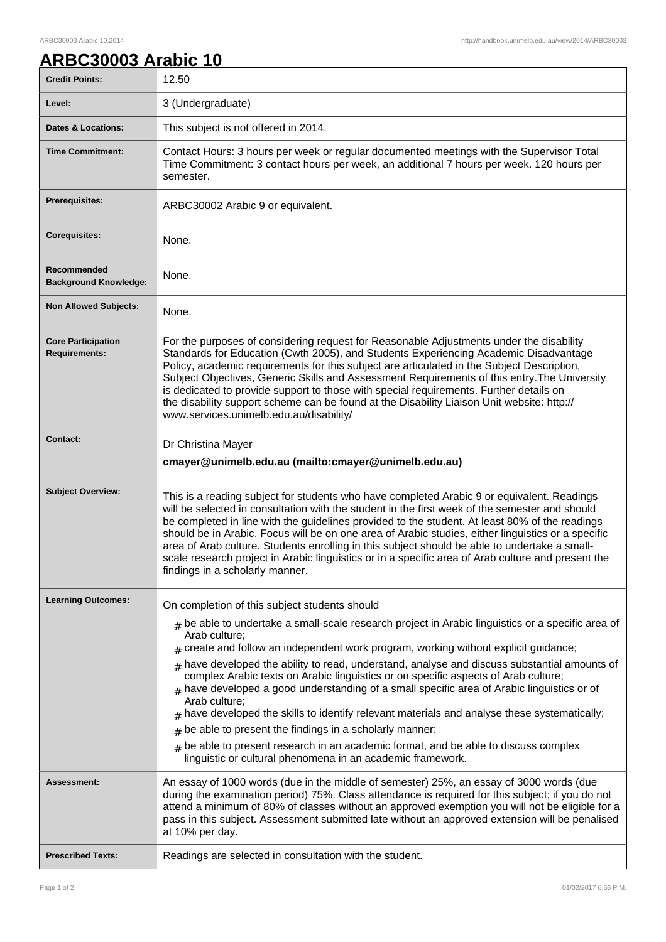## **ARBC30003 Arabic 10**

| <b>Credit Points:</b>                             | 12.50                                                                                                                                                                                                                                                                                                                                                                                                                                                                                                                                                                                                                                                                                                                                                                                                                                        |
|---------------------------------------------------|----------------------------------------------------------------------------------------------------------------------------------------------------------------------------------------------------------------------------------------------------------------------------------------------------------------------------------------------------------------------------------------------------------------------------------------------------------------------------------------------------------------------------------------------------------------------------------------------------------------------------------------------------------------------------------------------------------------------------------------------------------------------------------------------------------------------------------------------|
| Level:                                            | 3 (Undergraduate)                                                                                                                                                                                                                                                                                                                                                                                                                                                                                                                                                                                                                                                                                                                                                                                                                            |
| <b>Dates &amp; Locations:</b>                     | This subject is not offered in 2014.                                                                                                                                                                                                                                                                                                                                                                                                                                                                                                                                                                                                                                                                                                                                                                                                         |
| <b>Time Commitment:</b>                           | Contact Hours: 3 hours per week or regular documented meetings with the Supervisor Total<br>Time Commitment: 3 contact hours per week, an additional 7 hours per week. 120 hours per<br>semester.                                                                                                                                                                                                                                                                                                                                                                                                                                                                                                                                                                                                                                            |
| <b>Prerequisites:</b>                             | ARBC30002 Arabic 9 or equivalent.                                                                                                                                                                                                                                                                                                                                                                                                                                                                                                                                                                                                                                                                                                                                                                                                            |
| <b>Corequisites:</b>                              | None.                                                                                                                                                                                                                                                                                                                                                                                                                                                                                                                                                                                                                                                                                                                                                                                                                                        |
| Recommended<br><b>Background Knowledge:</b>       | None.                                                                                                                                                                                                                                                                                                                                                                                                                                                                                                                                                                                                                                                                                                                                                                                                                                        |
| <b>Non Allowed Subjects:</b>                      | None.                                                                                                                                                                                                                                                                                                                                                                                                                                                                                                                                                                                                                                                                                                                                                                                                                                        |
| <b>Core Participation</b><br><b>Requirements:</b> | For the purposes of considering request for Reasonable Adjustments under the disability<br>Standards for Education (Cwth 2005), and Students Experiencing Academic Disadvantage<br>Policy, academic requirements for this subject are articulated in the Subject Description,<br>Subject Objectives, Generic Skills and Assessment Requirements of this entry. The University<br>is dedicated to provide support to those with special requirements. Further details on<br>the disability support scheme can be found at the Disability Liaison Unit website: http://<br>www.services.unimelb.edu.au/disability/                                                                                                                                                                                                                             |
| <b>Contact:</b>                                   | Dr Christina Mayer<br>cmayer@unimelb.edu.au (mailto:cmayer@unimelb.edu.au)                                                                                                                                                                                                                                                                                                                                                                                                                                                                                                                                                                                                                                                                                                                                                                   |
| <b>Subject Overview:</b>                          | This is a reading subject for students who have completed Arabic 9 or equivalent. Readings<br>will be selected in consultation with the student in the first week of the semester and should<br>be completed in line with the guidelines provided to the student. At least 80% of the readings<br>should be in Arabic. Focus will be on one area of Arabic studies, either linguistics or a specific<br>area of Arab culture. Students enrolling in this subject should be able to undertake a small-<br>scale research project in Arabic linguistics or in a specific area of Arab culture and present the<br>findings in a scholarly manner.                                                                                                                                                                                               |
| <b>Learning Outcomes:</b>                         | On completion of this subject students should                                                                                                                                                                                                                                                                                                                                                                                                                                                                                                                                                                                                                                                                                                                                                                                                |
|                                                   | $#$ be able to undertake a small-scale research project in Arabic linguistics or a specific area of<br>Arab culture;<br>$*$ create and follow an independent work program, working without explicit guidance;<br>have developed the ability to read, understand, analyse and discuss substantial amounts of<br>#<br>complex Arabic texts on Arabic linguistics or on specific aspects of Arab culture;<br>$#$ have developed a good understanding of a small specific area of Arabic linguistics or of<br>Arab culture;<br>have developed the skills to identify relevant materials and analyse these systematically;<br>#<br>be able to present the findings in a scholarly manner;<br>#<br>be able to present research in an academic format, and be able to discuss complex<br>linguistic or cultural phenomena in an academic framework. |
| Assessment:                                       | An essay of 1000 words (due in the middle of semester) 25%, an essay of 3000 words (due<br>during the examination period) 75%. Class attendance is required for this subject; if you do not<br>attend a minimum of 80% of classes without an approved exemption you will not be eligible for a<br>pass in this subject. Assessment submitted late without an approved extension will be penalised<br>at 10% per day.                                                                                                                                                                                                                                                                                                                                                                                                                         |
| <b>Prescribed Texts:</b>                          | Readings are selected in consultation with the student.                                                                                                                                                                                                                                                                                                                                                                                                                                                                                                                                                                                                                                                                                                                                                                                      |